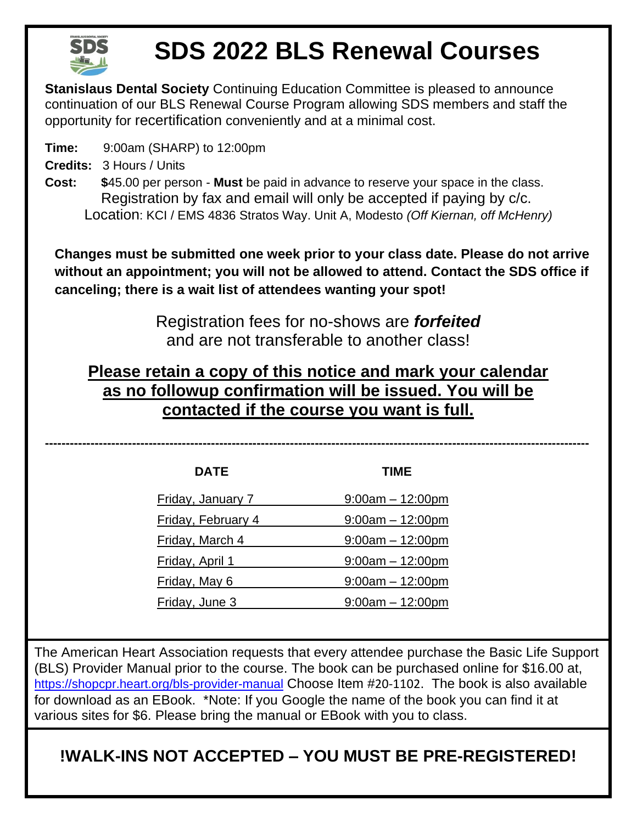

## **SDS 2022 BLS Renewal Courses**

**Stanislaus Dental Society** Continuing Education Committee is pleased to announce continuation of our BLS Renewal Course Program allowing SDS members and staff the opportunity for recertification conveniently and at a minimal cost.

**Time:** 9:00am (SHARP) to 12:00pm

**Credits:** 3 Hours / Units

**Cost: \$**45.00 per person - **Must** be paid in advance to reserve your space in the class. Registration by fax and email will only be accepted if paying by c/c. Location: KCI / EMS 4836 Stratos Way. Unit A, Modesto *(Off Kiernan, off McHenry)*

**Changes must be submitted one week prior to your class date. Please do not arrive without an appointment; you will not be allowed to attend. Contact the SDS office if canceling; there is a wait list of attendees wanting your spot!**

> Registration fees for no-shows are *forfeited* and are not transferable to another class!

## **Please retain a copy of this notice and mark your calendar as no followup confirmation will be issued. You will be contacted if the course you want is full.**

**-----------------------------------------------------------------------------------------------------------------------------------**

| <b>DATE</b>               | <b>TIME</b>        |  |
|---------------------------|--------------------|--|
| Friday, January 7         | $9:00am - 12:00pm$ |  |
| <b>Friday, February 4</b> | $9:00am - 12:00pm$ |  |
| Friday, March 4           | $9:00am - 12:00pm$ |  |
| Friday, April 1           | $9:00am - 12:00pm$ |  |
| Friday, May 6             | $9:00am - 12:00pm$ |  |
| Friday, June 3            | $9:00am - 12:00pm$ |  |

The American Heart Association requests that every attendee purchase the Basic Life Support (BLS) Provider Manual prior to the course. The book can be purchased online for \$16.00 at, <https://shopcpr.heart.org/bls-provider-manual> Choose Item #20-1102. The book is also available for download as an EBook. \*Note: If you Google the name of the book you can find it at various sites for \$6. Please bring the manual or EBook with you to class.

**!WALK-INS NOT ACCEPTED – YOU MUST BE PRE-REGISTERED!**